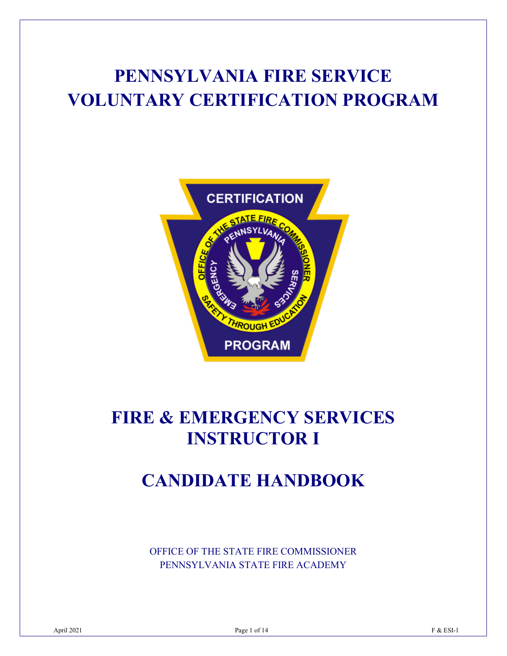## **PENNSYLVANIA FIRE SERVICE VOLUNTARY CERTIFICATION PROGRAM**



## **FIRE & EMERGENCY SERVICES INSTRUCTOR I**

## **CANDIDATE HANDBOOK**

OFFICE OF THE STATE FIRE COMMISSIONER PENNSYLVANIA STATE FIRE ACADEMY

April 2021 **Page 1 of 14 Page 1 of 14 Page 1 of 14 Page 1 of 14 Page 1 of 14 Page 1 of 14 Page 1 of 14 Page 1 of 14 Page 1 of 14 Page 1 of 14 Page 1 of 14 Page 1 of 14 Page 1 of 14 Page 1 of 14**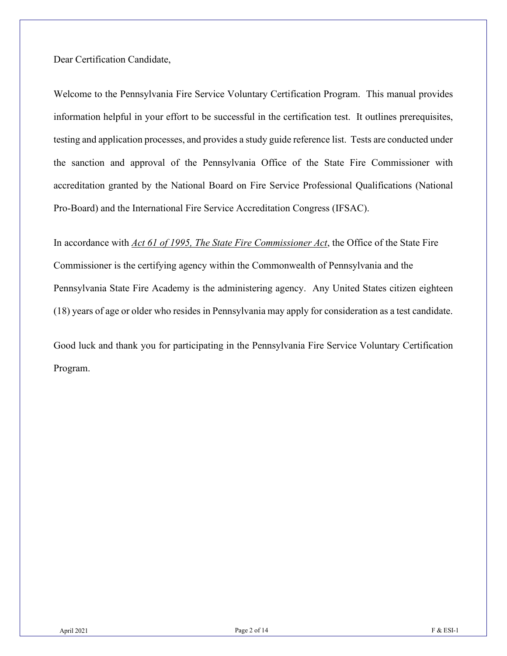Dear Certification Candidate,

Welcome to the Pennsylvania Fire Service Voluntary Certification Program. This manual provides information helpful in your effort to be successful in the certification test. It outlines prerequisites, testing and application processes, and provides a study guide reference list. Tests are conducted under the sanction and approval of the Pennsylvania Office of the State Fire Commissioner with accreditation granted by the National Board on Fire Service Professional Qualifications (National Pro-Board) and the International Fire Service Accreditation Congress (IFSAC).

In accordance with *Act 61 of 1995, The State Fire Commissioner Act*, the Office of the State Fire Commissioner is the certifying agency within the Commonwealth of Pennsylvania and the Pennsylvania State Fire Academy is the administering agency. Any United States citizen eighteen (18) years of age or older who resides in Pennsylvania may apply for consideration as a test candidate.

Good luck and thank you for participating in the Pennsylvania Fire Service Voluntary Certification Program.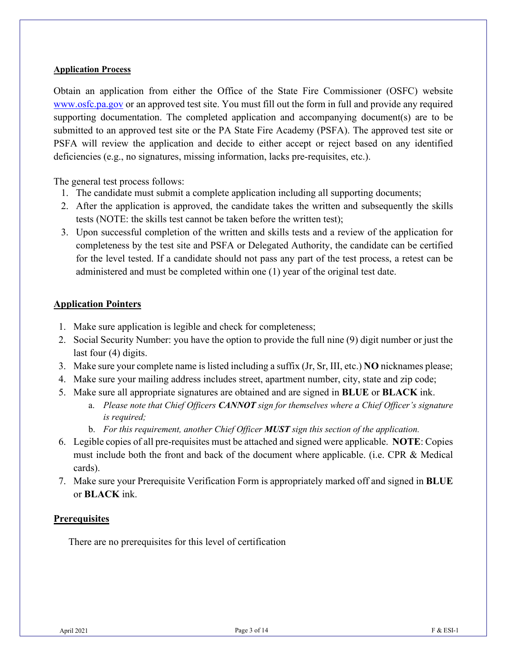#### **Application Process**

Obtain an application from either the Office of the State Fire Commissioner (OSFC) website [www.osfc.pa.gov](http://www.osfc.pa.gov/) or an approved test site. You must fill out the form in full and provide any required supporting documentation. The completed application and accompanying document(s) are to be submitted to an approved test site or the PA State Fire Academy (PSFA). The approved test site or PSFA will review the application and decide to either accept or reject based on any identified deficiencies (e.g., no signatures, missing information, lacks pre-requisites, etc.).

The general test process follows:

- 1. The candidate must submit a complete application including all supporting documents;
- 2. After the application is approved, the candidate takes the written and subsequently the skills tests (NOTE: the skills test cannot be taken before the written test);
- 3. Upon successful completion of the written and skills tests and a review of the application for completeness by the test site and PSFA or Delegated Authority, the candidate can be certified for the level tested. If a candidate should not pass any part of the test process, a retest can be administered and must be completed within one (1) year of the original test date.

#### **Application Pointers**

- 1. Make sure application is legible and check for completeness;
- 2. Social Security Number: you have the option to provide the full nine (9) digit number or just the last four (4) digits.
- 3. Make sure your complete name is listed including a suffix (Jr, Sr, III, etc.) **NO** nicknames please;
- 4. Make sure your mailing address includes street, apartment number, city, state and zip code;
- 5. Make sure all appropriate signatures are obtained and are signed in **BLUE** or **BLACK** ink.
	- a. *Please note that Chief Officers CANNOT sign for themselves where a Chief Officer's signature is required;*
	- b. *For this requirement, another Chief Officer MUST sign this section of the application.*
- 6. Legible copies of all pre-requisites must be attached and signed were applicable. **NOTE**: Copies must include both the front and back of the document where applicable. (i.e. CPR & Medical cards).
- 7. Make sure your Prerequisite Verification Form is appropriately marked off and signed in **BLUE** or **BLACK** ink.

#### **Prerequisites**

There are no prerequisites for this level of certification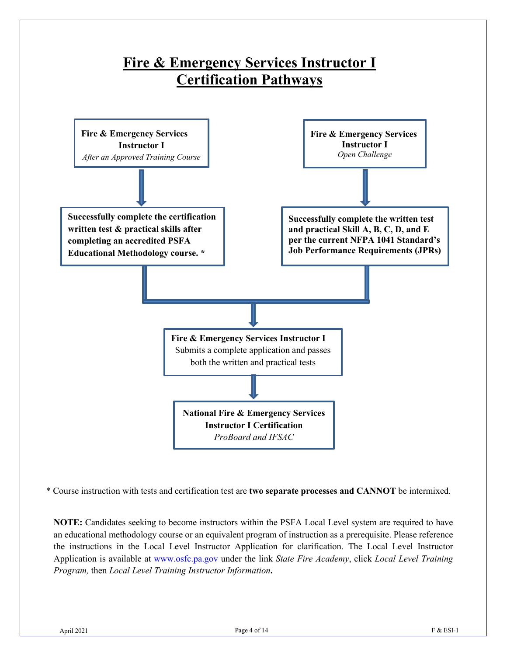

\* Course instruction with tests and certification test are **two separate processes and CANNOT** be intermixed.

**NOTE:** Candidates seeking to become instructors within the PSFA Local Level system are required to have an educational methodology course or an equivalent program of instruction as a prerequisite. Please reference the instructions in the Local Level Instructor Application for clarification. The Local Level Instructor Application is available at [www.osfc.pa.gov](http://www.osfc.pa.gov/) under the link *State Fire Academy*, click *Local Level Training Program,* then *Local Level Training Instructor Information***.**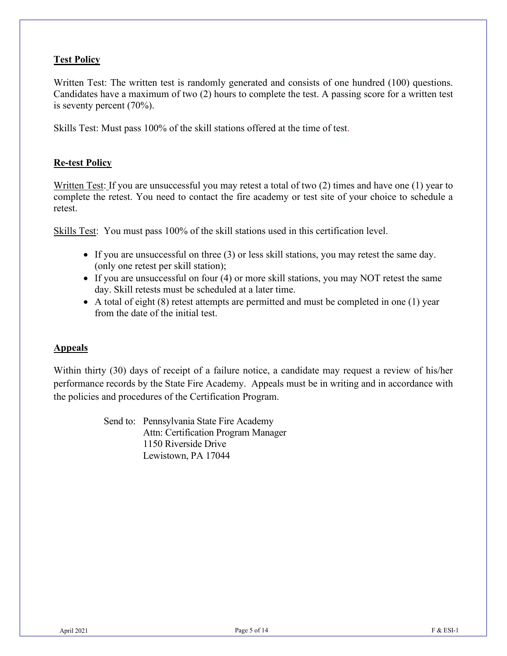#### **Test Policy**

Written Test: The written test is randomly generated and consists of one hundred (100) questions. Candidates have a maximum of two (2) hours to complete the test. A passing score for a written test is seventy percent (70%).

Skills Test: Must pass 100% of the skill stations offered at the time of test.

#### **Re-test Policy**

Written Test: If you are unsuccessful you may retest a total of two (2) times and have one (1) year to complete the retest. You need to contact the fire academy or test site of your choice to schedule a retest.

Skills Test: You must pass 100% of the skill stations used in this certification level.

- If you are unsuccessful on three (3) or less skill stations, you may retest the same day. (only one retest per skill station);
- If you are unsuccessful on four (4) or more skill stations, you may NOT retest the same day. Skill retests must be scheduled at a later time.
- A total of eight (8) retest attempts are permitted and must be completed in one (1) year from the date of the initial test.

#### **Appeals**

Within thirty (30) days of receipt of a failure notice, a candidate may request a review of his/her performance records by the State Fire Academy. Appeals must be in writing and in accordance with the policies and procedures of the Certification Program.

> Send to: Pennsylvania State Fire Academy Attn: Certification Program Manager 1150 Riverside Drive Lewistown, PA 17044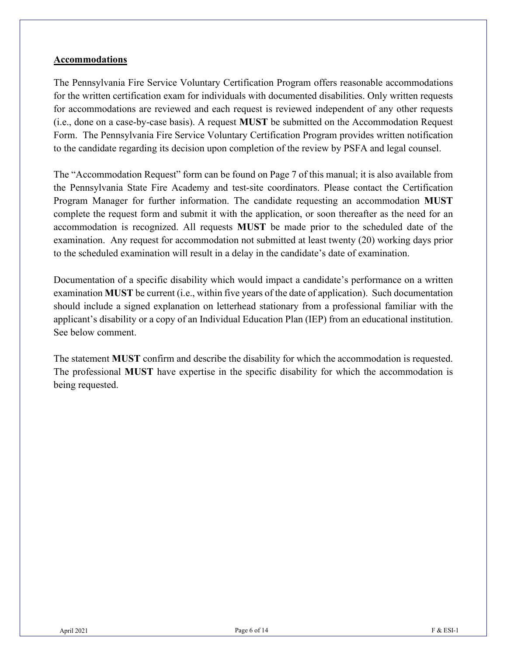#### **Accommodations**

The Pennsylvania Fire Service Voluntary Certification Program offers reasonable accommodations for the written certification exam for individuals with documented disabilities. Only written requests for accommodations are reviewed and each request is reviewed independent of any other requests (i.e., done on a case-by-case basis). A request **MUST** be submitted on the Accommodation Request Form. The Pennsylvania Fire Service Voluntary Certification Program provides written notification to the candidate regarding its decision upon completion of the review by PSFA and legal counsel.

The "Accommodation Request" form can be found on Page 7 of this manual; it is also available from the Pennsylvania State Fire Academy and test-site coordinators. Please contact the Certification Program Manager for further information. The candidate requesting an accommodation **MUST** complete the request form and submit it with the application, or soon thereafter as the need for an accommodation is recognized. All requests **MUST** be made prior to the scheduled date of the examination. Any request for accommodation not submitted at least twenty (20) working days prior to the scheduled examination will result in a delay in the candidate's date of examination.

Documentation of a specific disability which would impact a candidate's performance on a written examination **MUST** be current (i.e., within five years of the date of application). Such documentation should include a signed explanation on letterhead stationary from a professional familiar with the applicant's disability or a copy of an Individual Education Plan (IEP) from an educational institution. See below comment.

The statement **MUST** confirm and describe the disability for which the accommodation is requested. The professional **MUST** have expertise in the specific disability for which the accommodation is being requested.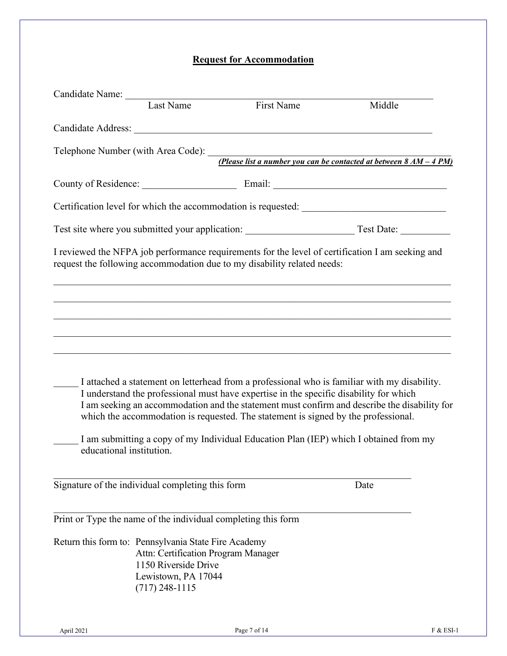#### **Request for Accommodation**

| Candidate Name: Last Name                                                                                                                                                                                                                                                                                                                                                                                                                                                                         |                                                                                                        | First Name | Middle                                                                                                                       |
|---------------------------------------------------------------------------------------------------------------------------------------------------------------------------------------------------------------------------------------------------------------------------------------------------------------------------------------------------------------------------------------------------------------------------------------------------------------------------------------------------|--------------------------------------------------------------------------------------------------------|------------|------------------------------------------------------------------------------------------------------------------------------|
|                                                                                                                                                                                                                                                                                                                                                                                                                                                                                                   |                                                                                                        |            |                                                                                                                              |
|                                                                                                                                                                                                                                                                                                                                                                                                                                                                                                   |                                                                                                        |            | Telephone Number (with Area Code): $\frac{P \text{ }}{P}$ (Please list a number you can be contacted at between 8 AM - 4 PM) |
|                                                                                                                                                                                                                                                                                                                                                                                                                                                                                                   |                                                                                                        |            |                                                                                                                              |
|                                                                                                                                                                                                                                                                                                                                                                                                                                                                                                   |                                                                                                        |            |                                                                                                                              |
|                                                                                                                                                                                                                                                                                                                                                                                                                                                                                                   |                                                                                                        |            |                                                                                                                              |
| I reviewed the NFPA job performance requirements for the level of certification I am seeking and<br>request the following accommodation due to my disability related needs:                                                                                                                                                                                                                                                                                                                       |                                                                                                        |            |                                                                                                                              |
|                                                                                                                                                                                                                                                                                                                                                                                                                                                                                                   |                                                                                                        |            |                                                                                                                              |
|                                                                                                                                                                                                                                                                                                                                                                                                                                                                                                   |                                                                                                        |            |                                                                                                                              |
| I attached a statement on letterhead from a professional who is familiar with my disability.<br>I understand the professional must have expertise in the specific disability for which<br>I am seeking an accommodation and the statement must confirm and describe the disability for<br>which the accommodation is requested. The statement is signed by the professional.<br>I am submitting a copy of my Individual Education Plan (IEP) which I obtained from my<br>educational institution. |                                                                                                        |            |                                                                                                                              |
| Signature of the individual completing this form                                                                                                                                                                                                                                                                                                                                                                                                                                                  |                                                                                                        |            | Date                                                                                                                         |
| Print or Type the name of the individual completing this form                                                                                                                                                                                                                                                                                                                                                                                                                                     |                                                                                                        |            |                                                                                                                              |
| Return this form to: Pennsylvania State Fire Academy                                                                                                                                                                                                                                                                                                                                                                                                                                              | Attn: Certification Program Manager<br>1150 Riverside Drive<br>Lewistown, PA 17044<br>$(717)$ 248-1115 |            |                                                                                                                              |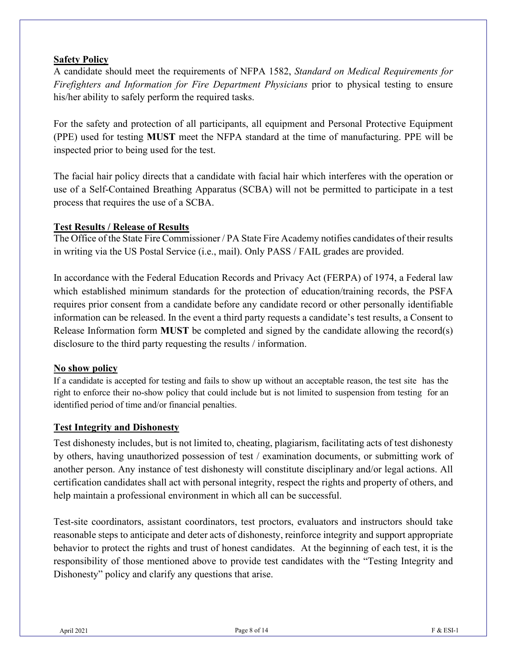#### **Safety Policy**

A candidate should meet the requirements of NFPA 1582, *Standard on Medical Requirements for Firefighters and Information for Fire Department Physicians* prior to physical testing to ensure his/her ability to safely perform the required tasks.

For the safety and protection of all participants, all equipment and Personal Protective Equipment (PPE) used for testing **MUST** meet the NFPA standard at the time of manufacturing. PPE will be inspected prior to being used for the test.

The facial hair policy directs that a candidate with facial hair which interferes with the operation or use of a Self-Contained Breathing Apparatus (SCBA) will not be permitted to participate in a test process that requires the use of a SCBA.

#### **Test Results / Release of Results**

The Office of the State Fire Commissioner / PA State Fire Academy notifies candidates of their results in writing via the US Postal Service (i.e., mail). Only PASS / FAIL grades are provided.

In accordance with the Federal Education Records and Privacy Act (FERPA) of 1974, a Federal law which established minimum standards for the protection of education/training records, the PSFA requires prior consent from a candidate before any candidate record or other personally identifiable information can be released. In the event a third party requests a candidate's test results, a Consent to Release Information form **MUST** be completed and signed by the candidate allowing the record(s) disclosure to the third party requesting the results / information.

#### **No show policy**

If a candidate is accepted for testing and fails to show up without an acceptable reason, the test site has the right to enforce their no-show policy that could include but is not limited to suspension from testing for an identified period of time and/or financial penalties.

#### **Test Integrity and Dishonesty**

Test dishonesty includes, but is not limited to, cheating, plagiarism, facilitating acts of test dishonesty by others, having unauthorized possession of test / examination documents, or submitting work of another person. Any instance of test dishonesty will constitute disciplinary and/or legal actions. All certification candidates shall act with personal integrity, respect the rights and property of others, and help maintain a professional environment in which all can be successful.

Test-site coordinators, assistant coordinators, test proctors, evaluators and instructors should take reasonable steps to anticipate and deter acts of dishonesty, reinforce integrity and support appropriate behavior to protect the rights and trust of honest candidates. At the beginning of each test, it is the responsibility of those mentioned above to provide test candidates with the "Testing Integrity and Dishonesty" policy and clarify any questions that arise.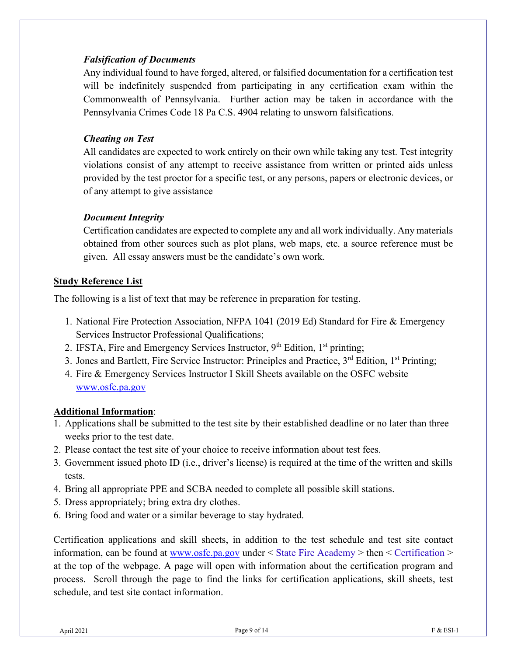#### *Falsification of Documents*

Any individual found to have forged, altered, or falsified documentation for a certification test will be indefinitely suspended from participating in any certification exam within the Commonwealth of Pennsylvania. Further action may be taken in accordance with the Pennsylvania Crimes Code 18 Pa C.S. 4904 relating to unsworn falsifications.

#### *Cheating on Test*

All candidates are expected to work entirely on their own while taking any test. Test integrity violations consist of any attempt to receive assistance from written or printed aids unless provided by the test proctor for a specific test, or any persons, papers or electronic devices, or of any attempt to give assistance

#### *Document Integrity*

Certification candidates are expected to complete any and all work individually. Any materials obtained from other sources such as plot plans, web maps, etc. a source reference must be given. All essay answers must be the candidate's own work.

#### **Study Reference List**

The following is a list of text that may be reference in preparation for testing.

- 1. National Fire Protection Association, NFPA 1041 (2019 Ed) Standard for Fire & Emergency Services Instructor Professional Qualifications;
- 2. IFSTA, Fire and Emergency Services Instructor,  $9<sup>th</sup>$  Edition,  $1<sup>st</sup>$  printing;
- 3. Jones and Bartlett, Fire Service Instructor: Principles and Practice, 3<sup>rd</sup> Edition, 1<sup>st</sup> Printing;
- 4. Fire & Emergency Services Instructor I Skill Sheets available on the OSFC website www.osfc.pa.gov

#### **Additional Information**:

- 1. Applications shall be submitted to the test site by their established deadline or no later than three weeks prior to the test date.
- 2. Please contact the test site of your choice to receive information about test fees.
- 3. Government issued photo ID (i.e., driver's license) is required at the time of the written and skills tests.
- 4. Bring all appropriate PPE and SCBA needed to complete all possible skill stations.
- 5. Dress appropriately; bring extra dry clothes.
- 6. Bring food and water or a similar beverage to stay hydrated.

Certification applications and skill sheets, in addition to the test schedule and test site contact information, can be found at [www.osfc.pa.gov](http://www.osfc.pa.gov/) under < State Fire Academy > then < Certification > at the top of the webpage. A page will open with information about the certification program and process. Scroll through the page to find the links for certification applications, skill sheets, test schedule, and test site contact information.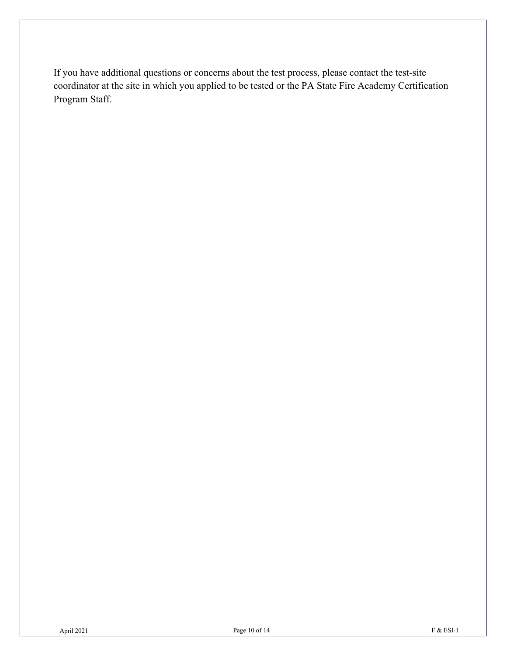If you have additional questions or concerns about the test process, please contact the test-site coordinator at the site in which you applied to be tested or the PA State Fire Academy Certification Program Staff.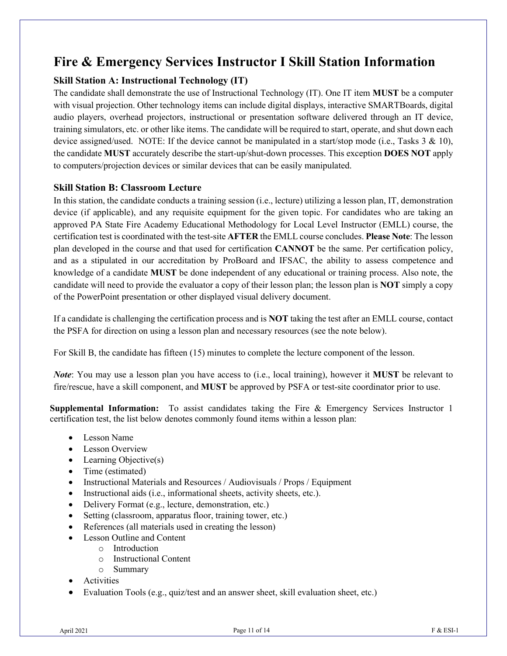### **Fire & Emergency Services Instructor I Skill Station Information**

#### **Skill Station A: Instructional Technology (IT)**

The candidate shall demonstrate the use of Instructional Technology (IT). One IT item **MUST** be a computer with visual projection. Other technology items can include digital displays, interactive SMARTBoards, digital audio players, overhead projectors, instructional or presentation software delivered through an IT device, training simulators, etc. or other like items. The candidate will be required to start, operate, and shut down each device assigned/used. NOTE: If the device cannot be manipulated in a start/stop mode (i.e., Tasks  $3 \& 10$ ), the candidate **MUST** accurately describe the start-up/shut-down processes. This exception **DOES NOT** apply to computers/projection devices or similar devices that can be easily manipulated.

#### **Skill Station B: Classroom Lecture**

In this station, the candidate conducts a training session (i.e., lecture) utilizing a lesson plan, IT, demonstration device (if applicable), and any requisite equipment for the given topic. For candidates who are taking an approved PA State Fire Academy Educational Methodology for Local Level Instructor (EMLL) course, the certification test is coordinated with the test-site **AFTER** the EMLL course concludes. **Please Note**: The lesson plan developed in the course and that used for certification **CANNOT** be the same. Per certification policy, and as a stipulated in our accreditation by ProBoard and IFSAC, the ability to assess competence and knowledge of a candidate **MUST** be done independent of any educational or training process. Also note, the candidate will need to provide the evaluator a copy of their lesson plan; the lesson plan is **NOT** simply a copy of the PowerPoint presentation or other displayed visual delivery document.

If a candidate is challenging the certification process and is **NOT** taking the test after an EMLL course, contact the PSFA for direction on using a lesson plan and necessary resources (see the note below).

For Skill B, the candidate has fifteen (15) minutes to complete the lecture component of the lesson.

*Note*: You may use a lesson plan you have access to (i.e., local training), however it **MUST** be relevant to fire/rescue, have a skill component, and **MUST** be approved by PSFA or test-site coordinator prior to use.

**Supplemental Information:** To assist candidates taking the Fire & Emergency Services Instructor 1 certification test, the list below denotes commonly found items within a lesson plan:

- Lesson Name
- Lesson Overview
- Learning Objective(s)
- Time (estimated)
- Instructional Materials and Resources / Audiovisuals / Props / Equipment
- Instructional aids (i.e., informational sheets, activity sheets, etc.).
- Delivery Format (e.g., lecture, demonstration, etc.)
- Setting (classroom, apparatus floor, training tower, etc.)
- References (all materials used in creating the lesson)
- Lesson Outline and Content
	- o Introduction
	- o Instructional Content
	- o Summary
- **Activities**
- Evaluation Tools (e.g., quiz/test and an answer sheet, skill evaluation sheet, etc.)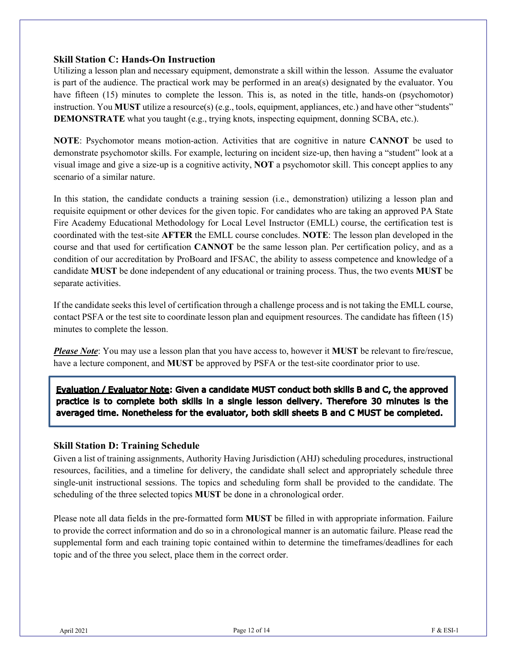#### **Skill Station C: Hands-On Instruction**

Utilizing a lesson plan and necessary equipment, demonstrate a skill within the lesson. Assume the evaluator is part of the audience. The practical work may be performed in an area(s) designated by the evaluator. You have fifteen (15) minutes to complete the lesson. This is, as noted in the title, hands-on (psychomotor) instruction. You **MUST** utilize a resource(s) (e.g., tools, equipment, appliances, etc.) and have other "students" **DEMONSTRATE** what you taught (e.g., trying knots, inspecting equipment, donning SCBA, etc.).

**NOTE**: Psychomotor means motion-action. Activities that are cognitive in nature **CANNOT** be used to demonstrate psychomotor skills. For example, lecturing on incident size-up, then having a "student" look at a visual image and give a size-up is a cognitive activity, **NOT** a psychomotor skill. This concept applies to any scenario of a similar nature.

In this station, the candidate conducts a training session (i.e., demonstration) utilizing a lesson plan and requisite equipment or other devices for the given topic. For candidates who are taking an approved PA State Fire Academy Educational Methodology for Local Level Instructor (EMLL) course, the certification test is coordinated with the test-site **AFTER** the EMLL course concludes. **NOTE**: The lesson plan developed in the course and that used for certification **CANNOT** be the same lesson plan. Per certification policy, and as a condition of our accreditation by ProBoard and IFSAC, the ability to assess competence and knowledge of a candidate **MUST** be done independent of any educational or training process. Thus, the two events **MUST** be separate activities.

If the candidate seeks this level of certification through a challenge process and is not taking the EMLL course, contact PSFA or the test site to coordinate lesson plan and equipment resources. The candidate has fifteen (15) minutes to complete the lesson.

*Please Note*: You may use a lesson plan that you have access to, however it **MUST** be relevant to fire/rescue, have a lecture component, and **MUST** be approved by PSFA or the test-site coordinator prior to use.

Evaluation / Evaluator Note: Given a candidate MUST conduct both skills B and C, the approved practice is to complete both skills in a single lesson delivery. Therefore 30 minutes is the averaged time. Nonetheless for the evaluator, both skill sheets B and C MUST be completed.

#### **Skill Station D: Training Schedule**

Given a list of training assignments, Authority Having Jurisdiction (AHJ) scheduling procedures, instructional resources, facilities, and a timeline for delivery, the candidate shall select and appropriately schedule three single-unit instructional sessions. The topics and scheduling form shall be provided to the candidate. The scheduling of the three selected topics **MUST** be done in a chronological order.

Please note all data fields in the pre-formatted form **MUST** be filled in with appropriate information. Failure to provide the correct information and do so in a chronological manner is an automatic failure. Please read the supplemental form and each training topic contained within to determine the timeframes/deadlines for each topic and of the three you select, place them in the correct order.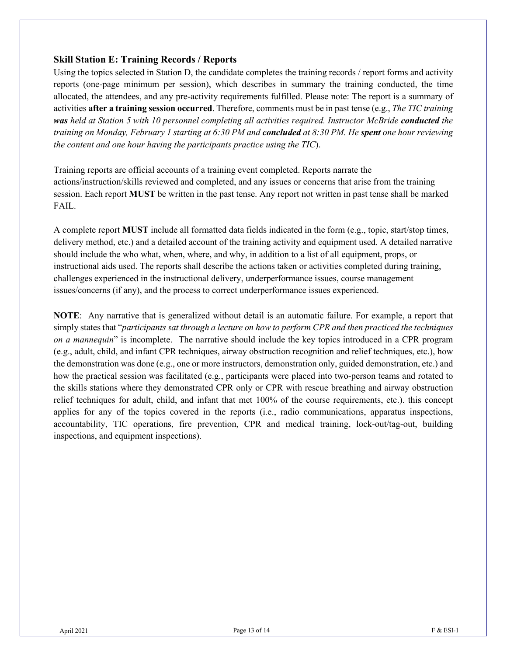#### **Skill Station E: Training Records / Reports**

Using the topics selected in Station D, the candidate completes the training records / report forms and activity reports (one-page minimum per session), which describes in summary the training conducted, the time allocated, the attendees, and any pre-activity requirements fulfilled. Please note: The report is a summary of activities **after a training session occurred**. Therefore, comments must be in past tense (e.g., *The TIC training was held at Station 5 with 10 personnel completing all activities required. Instructor McBride conducted the training on Monday, February 1 starting at 6:30 PM and concluded at 8:30 PM. He spent one hour reviewing the content and one hour having the participants practice using the TIC*).

Training reports are official accounts of a training event completed. Reports narrate the actions/instruction/skills reviewed and completed, and any issues or concerns that arise from the training session. Each report **MUST** be written in the past tense. Any report not written in past tense shall be marked FAIL.

A complete report **MUST** include all formatted data fields indicated in the form (e.g., topic, start/stop times, delivery method, etc.) and a detailed account of the training activity and equipment used. A detailed narrative should include the who what, when, where, and why, in addition to a list of all equipment, props, or instructional aids used. The reports shall describe the actions taken or activities completed during training, challenges experienced in the instructional delivery, underperformance issues, course management issues/concerns (if any), and the process to correct underperformance issues experienced.

**NOTE**: Any narrative that is generalized without detail is an automatic failure. For example, a report that simply states that "*participants sat through a lecture on how to perform CPR and then practiced the techniques on a mannequin*" is incomplete. The narrative should include the key topics introduced in a CPR program (e.g., adult, child, and infant CPR techniques, airway obstruction recognition and relief techniques, etc.), how the demonstration was done (e.g., one or more instructors, demonstration only, guided demonstration, etc.) and how the practical session was facilitated (e.g., participants were placed into two-person teams and rotated to the skills stations where they demonstrated CPR only or CPR with rescue breathing and airway obstruction relief techniques for adult, child, and infant that met 100% of the course requirements, etc.). this concept applies for any of the topics covered in the reports (i.e., radio communications, apparatus inspections, accountability, TIC operations, fire prevention, CPR and medical training, lock-out/tag-out, building inspections, and equipment inspections).